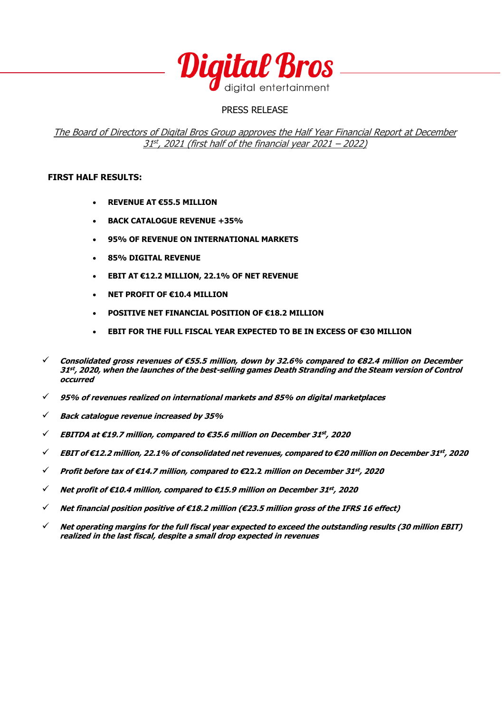

## PRESS RELEASE

## The Board of Directors of Digital Bros Group approves the Half Year Financial Report at December 31 st , 2021 (first half of the financial year 2021 – 2022)

### **FIRST HALF RESULTS:**

- **REVENUE AT €55.5 MILLION**
- **BACK CATALOGUE REVENUE +35%**
- **95% OF REVENUE ON INTERNATIONAL MARKETS**
- **85% DIGITAL REVENUE**
- **EBIT AT €12.2 MILLION, 22.1% OF NET REVENUE**
- **NET PROFIT OF €10.4 MILLION**
- **POSITIVE NET FINANCIAL POSITION OF €18.2 MILLION**
- **EBIT FOR THE FULL FISCAL YEAR EXPECTED TO BE IN EXCESS OF €30 MILLION**
- ✓ **Consolidated gross revenues of €55.5 million, down by 32.6% compared to €82.4 million on December 31 st , 2020, when the launches of the best-selling games Death Stranding and the Steam version of Control occurred**
- ✓ **95% of revenues realized on international markets and 85% on digital marketplaces**
- ✓ **Back catalogue revenue increased by 35%**
- ✓ **EBITDA at €19.7 million, compared to €35.6 million on December 31 st , 2020**
- ✓ **EBIT of €12.2 million, 22.1% of consolidated net revenues, compared to €20 million on December 31 st , 2020**
- ✓ **Profit before tax of €14.7 million, compared to €22.2 million on December 31 st , 2020**
- ✓ **Net profit of €10.4 million, compared to €15.9 million on December 31 st , 2020**
- ✓ **Net financial position positive of €18.2 million (€23.5 million gross of the IFRS 16 effect)**
- ✓ **Net operating margins for the full fiscal year expected to exceed the outstanding results (30 million EBIT) realized in the last fiscal, despite a small drop expected in revenues**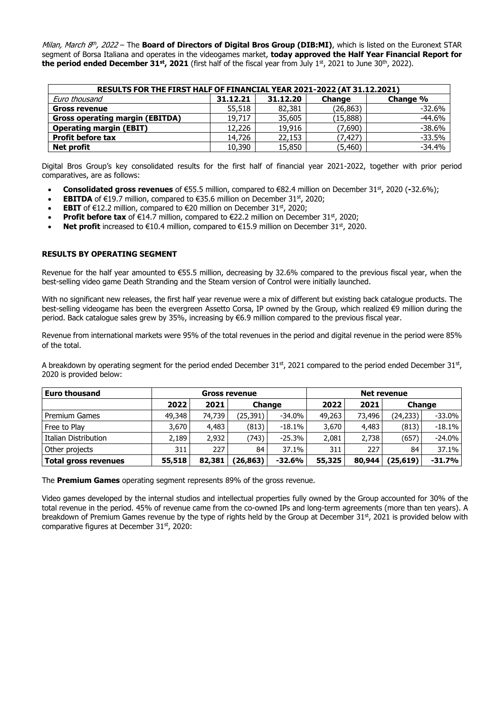Milan, March 8<sup>th</sup>, 2022 – The **Board of Directors of Digital Bros Group (DIB:MI)**, which is listed on the Euronext STAR segment of Borsa Italiana and operates in the videogames market, **today approved the Half Year Financial Report for the period ended December 31st, 2021** (first half of the fiscal year from July 1st, 2021 to June 30th, 2022).

| RESULTS FOR THE FIRST HALF OF FINANCIAL YEAR 2021-2022 (AT 31.12.2021) |          |          |               |          |  |  |  |  |  |
|------------------------------------------------------------------------|----------|----------|---------------|----------|--|--|--|--|--|
| Euro thousand                                                          | 31.12.21 | 31.12.20 | <b>Change</b> | Change % |  |  |  |  |  |
| <b>Gross revenue</b>                                                   | 55,518   | 82,381   | (26, 863)     | $-32.6%$ |  |  |  |  |  |
| <b>Gross operating margin (EBITDA)</b>                                 | 19,717   | 35,605   | (15,888)      | $-44.6%$ |  |  |  |  |  |
| <b>Operating margin (EBIT)</b>                                         | 12,226   | 19,916   | (7,690)       | $-38.6%$ |  |  |  |  |  |
| <b>Profit before tax</b>                                               | 14,726   | 22,153   | (7,427)       | $-33.5%$ |  |  |  |  |  |
| Net profit                                                             | 10,390   | 15,850   | (5,460)       | $-34.4%$ |  |  |  |  |  |

Digital Bros Group's key consolidated results for the first half of financial year 2021-2022, together with prior period comparatives, are as follows:

- **Consolidated gross revenues** of €55.5 million, compared to €82.4 million on December 31<sup>st</sup>, 2020 (-32.6%);
- **EBITDA** of  $\in$ 19.7 million, compared to  $\in$ 35.6 million on December 31<sup>st</sup>, 2020;
- **EBIT** of €12.2 million, compared to €20 million on December 31st, 2020;
- **Profit before tax** of  $\epsilon$ 14.7 million, compared to  $\epsilon$ 22.2 million on December 31<sup>st</sup>, 2020;
- Net profit increased to €10.4 million, compared to €15.9 million on December 31<sup>st</sup>, 2020.

#### **RESULTS BY OPERATING SEGMENT**

Revenue for the half year amounted to €55.5 million, decreasing by 32.6% compared to the previous fiscal year, when the best-selling video game Death Stranding and the Steam version of Control were initially launched.

With no significant new releases, the first half year revenue were a mix of different but existing back catalogue products. The best-selling videogame has been the evergreen Assetto Corsa, IP owned by the Group, which realized €9 million during the period. Back catalogue sales grew by 35%, increasing by €6.9 million compared to the previous fiscal year.

Revenue from international markets were 95% of the total revenues in the period and digital revenue in the period were 85% of the total.

A breakdown by operating segment for the period ended December 31st, 2021 compared to the period ended December 31st, 2020 is provided below:

| <b>Euro thousand</b>        | <b>Net revenue</b><br><b>Gross revenue</b> |        |           |               |        |        |          |           |               |  |
|-----------------------------|--------------------------------------------|--------|-----------|---------------|--------|--------|----------|-----------|---------------|--|
|                             | 2022                                       | 2021   |           | <b>Change</b> |        |        |          | 2021      | <b>Change</b> |  |
| <b>Premium Games</b>        | 49,348                                     | 74,739 | (25, 391) | -34.0%        | 49,263 | 73,496 | (24,233) | $-33.0\%$ |               |  |
| Free to Play                | 3,670                                      | 4,483  | (813)     | -18.1%        | 3,670  | 4,483  | (813)    | $-18.1\%$ |               |  |
| Italian Distribution        | 2.189                                      | 2,932  | (743)     | $-25.3\%$     | 2,081  | 2,738  | (657)    | $-24.0\%$ |               |  |
| Other projects              | 311                                        | 227    | 84        | 37.1%         | 311    | 227    | 84       | $37.1\%$  |               |  |
| <b>Total gross revenues</b> | 55,518                                     | 82,381 | (26,863)  | $-32.6%$      | 55,325 | 80,944 | (25,619) | $-31.7%$  |               |  |

The **Premium Games** operating segment represents 89% of the gross revenue.

Video games developed by the internal studios and intellectual properties fully owned by the Group accounted for 30% of the total revenue in the period. 45% of revenue came from the co-owned IPs and long-term agreements (more than ten years). A breakdown of Premium Games revenue by the type of rights held by the Group at December 31st, 2021 is provided below with comparative figures at December  $31<sup>st</sup>$ , 2020: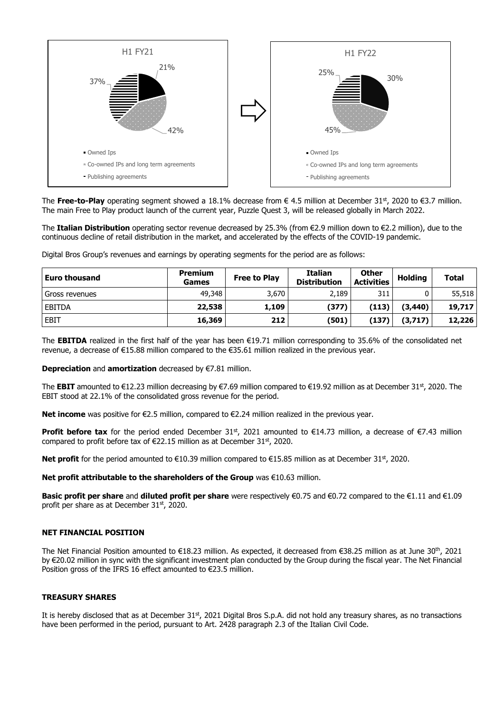

The Free-to-Play operating segment showed a 18.1% decrease from € 4.5 million at December 31<sup>st</sup>, 2020 to €3.7 million. The main Free to Play product launch of the current year, Puzzle Quest 3, will be released globally in March 2022.

The **Italian Distribution** operating sector revenue decreased by 25.3% (from €2.9 million down to €2.2 million), due to the continuous decline of retail distribution in the market, and accelerated by the effects of the COVID-19 pandemic.

Digital Bros Group's revenues and earnings by operating segments for the period are as follows:

| <b>Euro thousand</b> | <b>Premium</b><br>Games | <b>Free to Play</b> | <b>Italian</b><br><b>Distribution</b> | <b>Other</b><br><b>Activities</b> | <b>Holding</b> | <b>Total</b> |
|----------------------|-------------------------|---------------------|---------------------------------------|-----------------------------------|----------------|--------------|
| Gross revenues       | 49,348                  | 3,670               | 2,189                                 | 311                               |                | 55,518       |
| <b>EBITDA</b>        | 22,538                  | 1,109               | (377)                                 | (113)                             | (3,440)        | 19,717       |
| <b>EBIT</b>          | 16,369                  | 212                 | (501)                                 | (137                              | (3,717)        | 12,226       |

The **EBITDA** realized in the first half of the year has been €19.71 million corresponding to 35.6% of the consolidated net revenue, a decrease of €15.88 million compared to the €35.61 million realized in the previous year.

**Depreciation** and **amortization** decreased by €7.81 million.

The **EBIT** amounted to €12.23 million decreasing by €7.69 million compared to €19.92 million as at December 31<sup>st</sup>, 2020. The EBIT stood at 22.1% of the consolidated gross revenue for the period.

**Net income** was positive for €2.5 million, compared to €2.24 million realized in the previous year.

**Profit before tax** for the period ended December 31<sup>st</sup>, 2021 amounted to €14.73 million, a decrease of €7.43 million compared to profit before tax of  $\epsilon$ 22.15 million as at December 31<sup>st</sup>, 2020.

**Net profit** for the period amounted to €10.39 million compared to €15.85 million as at December 31<sup>st</sup>, 2020.

**Net profit attributable to the shareholders of the Group** was €10.63 million.

**Basic profit per share** and **diluted profit per share** were respectively €0.75 and €0.72 compared to the €1.11 and €1.09 profit per share as at December 31st, 2020.

#### **NET FINANCIAL POSITION**

The Net Financial Position amounted to €18.23 million. As expected, it decreased from €38.25 million as at June 30th, 2021 by €20.02 million in sync with the significant investment plan conducted by the Group during the fiscal year. The Net Financial Position gross of the IFRS 16 effect amounted to €23.5 million.

#### **TREASURY SHARES**

It is hereby disclosed that as at December  $31st$ , 2021 Digital Bros S.p.A. did not hold any treasury shares, as no transactions have been performed in the period, pursuant to Art. 2428 paragraph 2.3 of the Italian Civil Code.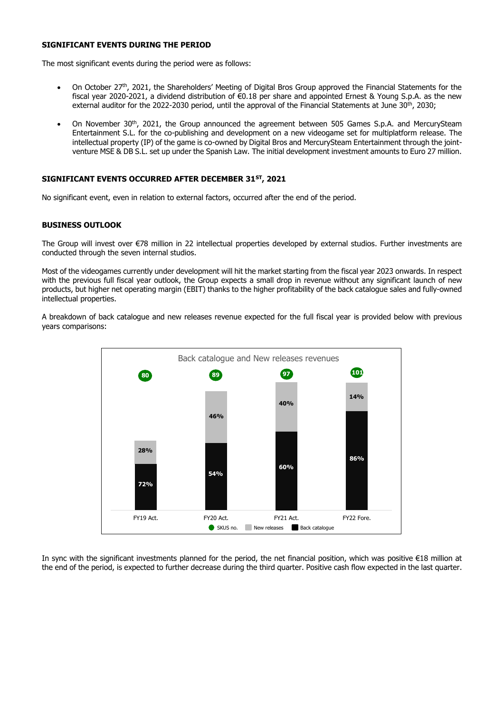#### **SIGNIFICANT EVENTS DURING THE PERIOD**

The most significant events during the period were as follows:

- On October 27th, 2021, the Shareholders' Meeting of Digital Bros Group approved the Financial Statements for the fiscal year 2020-2021, a dividend distribution of €0.18 per share and appointed Ernest & Young S.p.A. as the new external auditor for the 2022-2030 period, until the approval of the Financial Statements at June 30<sup>th</sup>, 2030;
- On November 30th, 2021, the Group announced the agreement between 505 Games S.p.A. and MercurySteam Entertainment S.L. for the co-publishing and development on a new videogame set for multiplatform release. The intellectual property (IP) of the game is co-owned by Digital Bros and MercurySteam Entertainment through the jointventure MSE & DB S.L. set up under the Spanish Law. The initial development investment amounts to Euro 27 million.

#### **SIGNIFICANT EVENTS OCCURRED AFTER DECEMBER 31ST, 2021**

No significant event, even in relation to external factors, occurred after the end of the period.

#### **BUSINESS OUTLOOK**

The Group will invest over €78 million in 22 intellectual properties developed by external studios. Further investments are conducted through the seven internal studios.

Most of the videogames currently under development will hit the market starting from the fiscal year 2023 onwards. In respect with the previous full fiscal year outlook, the Group expects a small drop in revenue without any significant launch of new products, but higher net operating margin (EBIT) thanks to the higher profitability of the back catalogue sales and fully-owned intellectual properties.

A breakdown of back catalogue and new releases revenue expected for the full fiscal year is provided below with previous years comparisons:



In sync with the significant investments planned for the period, the net financial position, which was positive €18 million at the end of the period, is expected to further decrease during the third quarter. Positive cash flow expected in the last quarter.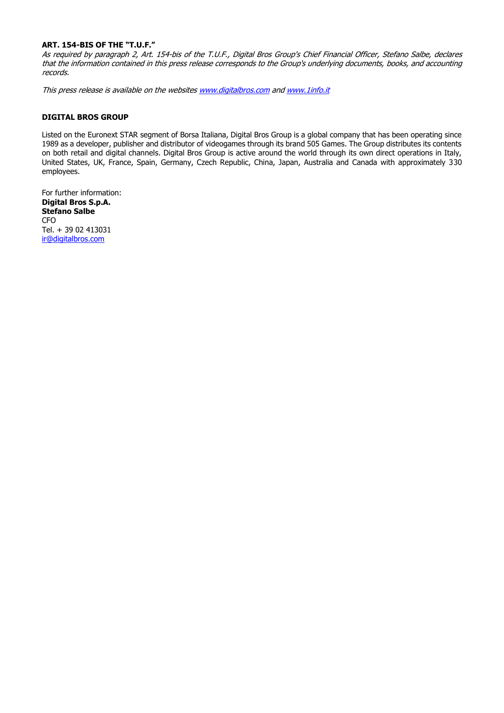#### **ART. 154-BIS OF THE "T.U.F."**

As required by paragraph 2, Art. 154-bis of the T.U.F., Digital Bros Group's Chief Financial Officer, Stefano Salbe, declares that the information contained in this press release corresponds to the Group's underlying documents, books, and accounting records.

This press release is available on the website[s www.digitalbros.com](http://www.digitalbros.com/) an[d www.1info.it](http://www.1info.it/) 

#### **DIGITAL BROS GROUP**

Listed on the Euronext STAR segment of Borsa Italiana, Digital Bros Group is a global company that has been operating since 1989 as a developer, publisher and distributor of videogames through its brand 505 Games. The Group distributes its contents on both retail and digital channels. Digital Bros Group is active around the world through its own direct operations in Italy, United States, UK, France, Spain, Germany, Czech Republic, China, Japan, Australia and Canada with approximately 330 employees.

For further information: **Digital Bros S.p.A. Stefano Salbe** CFO Tel. + 39 02 413031 [ir@digitalbros.com](mailto:ir@digitalbros.com)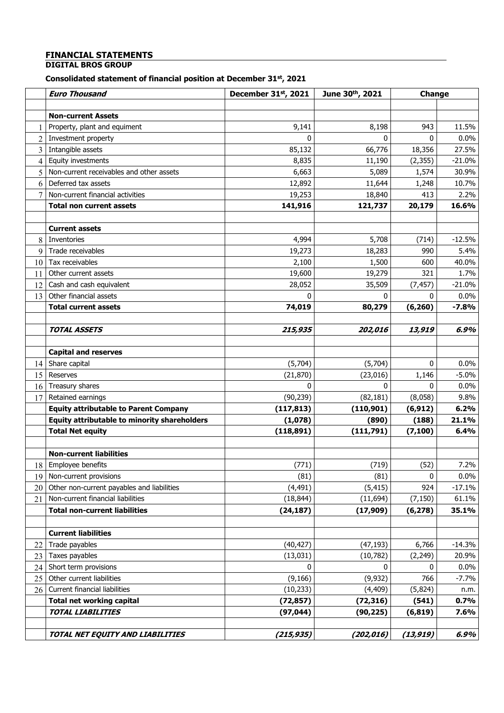# **FINANCIAL STATEMENTS**

## **DIGITAL BROS GROUP**

#### **Consolidated statement of financial position at December 31st , 2021**

|                | <b>Euro Thousand</b>                         | December 31st, 2021 | June 30th, 2021 | Change    |          |  |
|----------------|----------------------------------------------|---------------------|-----------------|-----------|----------|--|
|                |                                              |                     |                 |           |          |  |
|                | <b>Non-current Assets</b>                    |                     |                 |           |          |  |
|                | Property, plant and equiment                 | 9,141               | 8,198           | 943       | 11.5%    |  |
| 2              | Investment property                          | 0                   | 0               | 0         | 0.0%     |  |
| 3              | Intangible assets                            | 85,132              | 66,776          | 18,356    | 27.5%    |  |
| 4              | Equity investments                           | 8,835               | 11,190          | (2, 355)  | $-21.0%$ |  |
| 5              | Non-current receivables and other assets     | 6,663               | 5,089           | 1,574     | 30.9%    |  |
| 6              | Deferred tax assets                          | 12,892              | 11,644          | 1,248     | 10.7%    |  |
| $\overline{7}$ | Non-current financial activities             | 19,253              | 18,840          | 413       | 2.2%     |  |
|                | <b>Total non current assets</b>              | 141,916             | 121,737         | 20,179    | 16.6%    |  |
|                |                                              |                     |                 |           |          |  |
|                | <b>Current assets</b>                        |                     |                 |           |          |  |
| 8              | Inventories                                  | 4,994               | 5,708           | (714)     | $-12.5%$ |  |
| 9              | Trade receivables                            | 19,273              | 18,283          | 990       | 5.4%     |  |
| 10             | Tax receivables                              | 2,100               | 1,500           | 600       | 40.0%    |  |
| 11             | Other current assets                         | 19,600              | 19,279          | 321       | 1.7%     |  |
| 12             | Cash and cash equivalent                     | 28,052              | 35,509          | (7, 457)  | $-21.0%$ |  |
| 13             | Other financial assets                       | $\Omega$            | 0               | 0         | 0.0%     |  |
|                | <b>Total current assets</b>                  | 74,019              | 80,279          | (6, 260)  | $-7.8%$  |  |
|                |                                              |                     |                 |           |          |  |
|                | <b>TOTAL ASSETS</b>                          | 215,935             | 202,016         | 13,919    | 6.9%     |  |
|                |                                              |                     |                 |           |          |  |
|                | <b>Capital and reserves</b>                  |                     |                 |           |          |  |
| 14             | Share capital                                | (5,704)             | (5,704)         | 0         | 0.0%     |  |
| 15             | Reserves                                     | (21, 870)           | (23, 016)       | 1,146     | $-5.0%$  |  |
| 16             | Treasury shares                              | $\Omega$            | 0               | 0         | 0.0%     |  |
| 17             | Retained earnings                            | (90, 239)           | (82, 181)       | (8,058)   | 9.8%     |  |
|                | <b>Equity attributable to Parent Company</b> | (117, 813)          | (110, 901)      | (6, 912)  | 6.2%     |  |
|                | Equity attributable to minority shareholders | (1,078)             | (890)           | (188)     | 21.1%    |  |
|                | <b>Total Net equity</b>                      | (118, 891)          | (111,791)       | (7, 100)  | 6.4%     |  |
|                |                                              |                     |                 |           |          |  |
|                | <b>Non-current liabilities</b>               |                     |                 |           |          |  |
|                | 18 Employee benefits                         | (771)               | (719)           | (52)      | 7.2%     |  |
| 19             | Non-current provisions                       | (81)                | (81)            | 0         | 0.0%     |  |
| 20             | Other non-current payables and liabilities   | (4, 491)            | (5, 415)        | 924       | $-17.1%$ |  |
| 21             | Non-current financial liabilities            | (18, 844)           | (11, 694)       | (7, 150)  | 61.1%    |  |
|                | <b>Total non-current liabilities</b>         | (24, 187)           | (17,909)        | (6, 278)  | 35.1%    |  |
|                |                                              |                     |                 |           |          |  |
|                | <b>Current liabilities</b>                   |                     |                 |           |          |  |
| 22             | Trade payables                               | (40, 427)           | (47, 193)       | 6,766     | $-14.3%$ |  |
| 23             | Taxes payables                               | (13,031)            | (10,782)        | (2, 249)  | 20.9%    |  |
| 24             | Short term provisions                        | 0                   | 0               | 0         | 0.0%     |  |
| 25             | Other current liabilities                    | (9, 166)            | (9, 932)        | 766       | $-7.7%$  |  |
| 26             | Current financial liabilities                | (10, 233)           | (4, 409)        | (5,824)   | n.m.     |  |
|                | <b>Total net working capital</b>             | (72, 857)           | (72, 316)       | (541)     | 0.7%     |  |
|                | <b>TOTAL LIABILITIES</b>                     | (97, 044)           | (90, 225)       | (6, 819)  | 7.6%     |  |
|                |                                              |                     |                 |           |          |  |
|                | TOTAL NET EQUITY AND LIABILITIES             | (215, 935)          | (202, 016)      | (13, 919) | 6.9%     |  |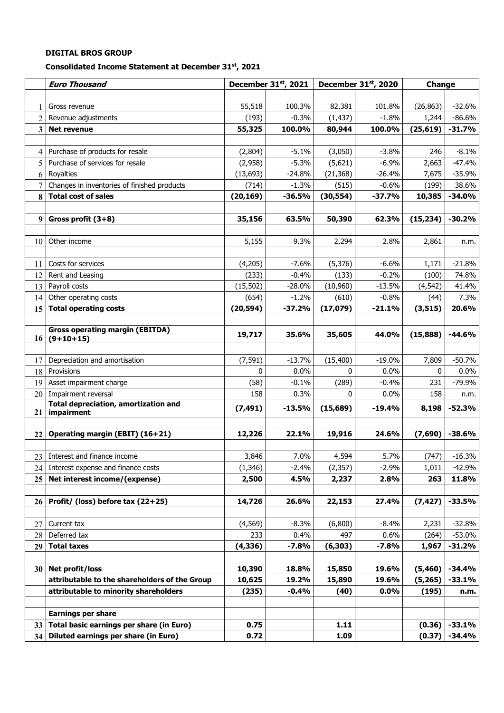## **Consolidated Income Statement at December 31st, 2021**

|                 | <b>Euro Thousand</b>                           |               | December 31st, 2021 |                | December 31st, 2020 | Change     |                     |
|-----------------|------------------------------------------------|---------------|---------------------|----------------|---------------------|------------|---------------------|
|                 |                                                |               |                     |                |                     |            |                     |
| 1               | Gross revenue                                  | 55,518        | 100.3%              | 82,381         | 101.8%              | (26, 863)  | $-32.6%$            |
| 2               | Revenue adjustments                            | (193)         | $-0.3%$             | (1, 437)       | $-1.8%$             | 1,244      | $-86.6%$            |
| 3               | <b>Net revenue</b>                             | 55,325        | 100.0%              | 80,944         | 100.0%              | (25, 619)  | $-31.7%$            |
|                 |                                                |               |                     |                |                     |            |                     |
| $\overline{4}$  | Purchase of products for resale                | (2,804)       | $-5.1%$             | (3,050)        | $-3.8%$             | 246        | $-8.1%$             |
| 5               | Purchase of services for resale                | (2,958)       | $-5.3%$             | (5,621)        | $-6.9%$             | 2,663      | $-47.4%$            |
| 6               | Royalties                                      | (13, 693)     | $-24.8%$            | (21, 368)      | $-26.4%$            | 7,675      | $-35.9%$            |
| 7               | Changes in inventories of finished products    | (714)         | $-1.3%$             | (515)          | $-0.6%$             | (199)      | 38.6%               |
| 8               | <b>Total cost of sales</b>                     | (20, 169)     | $-36.5%$            | (30, 554)      | $-37.7%$            | 10,385     | $-34.0%$            |
|                 |                                                |               |                     |                |                     |            |                     |
| 9               | Gross profit $(3+8)$                           | 35,156        | 63.5%               | 50,390         | 62.3%               | (15, 234)  | $-30.2%$            |
|                 |                                                |               |                     |                |                     |            |                     |
| 10              | Other income                                   | 5,155         | 9.3%                | 2,294          | 2.8%                | 2,861      | n.m.                |
|                 |                                                |               |                     |                |                     |            |                     |
| 11              | Costs for services                             | (4,205)       | $-7.6%$             | (5, 376)       | $-6.6%$             | 1,171      | $-21.8%$            |
| 12              | Rent and Leasing                               | (233)         | $-0.4%$             | (133)          | $-0.2%$             | (100)      | 74.8%               |
| 13              | Payroll costs                                  | (15, 502)     | $-28.0%$            | (10,960)       | $-13.5%$            | (4, 542)   | 41.4%               |
| 14              | Other operating costs                          | (654)         | $-1.2%$             | (610)          | $-0.8%$             | (44)       | 7.3%                |
| 15              | <b>Total operating costs</b>                   | (20, 594)     | $-37.2%$            | (17, 079)      | $-21.1%$            | (3, 515)   | 20.6%               |
|                 |                                                |               |                     |                |                     |            |                     |
|                 | <b>Gross operating margin (EBITDA)</b>         | 19,717        | 35.6%               | 35,605         | 44.0%               | (15, 888)  | $-44.6%$            |
|                 | $16(9+10+15)$                                  |               |                     |                |                     |            |                     |
|                 |                                                |               |                     |                |                     |            |                     |
| 17              | Depreciation and amortisation                  | (7, 591)<br>0 | $-13.7%$<br>0.0%    | (15, 400)<br>0 | $-19.0%$            | 7,809<br>0 | $-50.7%$            |
| 18              | Provisions                                     |               | $-0.1%$             |                | 0.0%<br>$-0.4%$     | 231        | $0.0\%$<br>$-79.9%$ |
| 19              | Asset impairment charge<br>Impairment reversal | (58)<br>158   | 0.3%                | (289)<br>0     | 0.0%                | 158        |                     |
| 20              | <b>Total depreciation, amortization and</b>    |               |                     |                |                     |            | n.m.                |
| 21              | impairment                                     | (7, 491)      | $-13.5%$            | (15, 689)      | $-19.4%$            | 8,198      | $-52.3%$            |
|                 |                                                |               |                     |                |                     |            |                     |
| 22              | Operating margin (EBIT) (16+21)                | 12,226        | 22.1%               | 19,916         | 24.6%               | (7,690)    | $-38.6%$            |
|                 |                                                |               |                     |                |                     |            |                     |
|                 | 23 Interest and finance income                 | 3,846         | 7.0%                | 4,594          | 5.7%                | (747)      | $-16.3%$            |
|                 | 24 Interest expense and finance costs          | (1,346)       | $-2.4%$             | (2, 357)       | $-2.9%$             | 1,011      | -42.9%              |
| 25              | Net interest income/(expense)                  | 2,500         | 4.5%                | 2,237          | 2.8%                | 263        | 11.8%               |
|                 |                                                |               |                     |                |                     |            |                     |
| 26 <sup>1</sup> | Profit/ (loss) before tax (22+25)              | 14,726        | 26.6%               | 22,153         | 27.4%               | (7, 427)   | $-33.5%$            |
|                 |                                                |               |                     |                |                     |            |                     |
| 27              | Current tax                                    | (4, 569)      | $-8.3%$             | (6,800)        | $-8.4%$             | 2,231      | $-32.8%$            |
| 28              | Deferred tax                                   | 233           | 0.4%                | 497            | 0.6%                | (264)      | -53.0%              |
| 29              | <b>Total taxes</b>                             | (4, 336)      | $-7.8%$             | (6, 303)       | $-7.8%$             | 1,967      | -31.2%              |
|                 |                                                |               |                     |                |                     |            |                     |
|                 | 30   Net profit/loss                           | 10,390        | 18.8%               | 15,850         | 19.6%               | (5,460)    | $-34.4%$            |
|                 | attributable to the shareholders of the Group  | 10,625        | 19.2%               | 15,890         | 19.6%               | (5, 265)   | $-33.1%$            |
|                 | attributable to minority shareholders          | (235)         | $-0.4%$             | (40)           | $0.0\%$             | (195)      | n.m.                |
|                 |                                                |               |                     |                |                     |            |                     |
|                 | <b>Earnings per share</b>                      |               |                     |                |                     |            |                     |
| 33 <sup>1</sup> | Total basic earnings per share (in Euro)       | 0.75          |                     | 1.11           |                     | (0.36)     | $-33.1%$            |
| 34 <sup>1</sup> | Diluted earnings per share (in Euro)           | 0.72          |                     | 1.09           |                     | (0.37)     | $-34.4%$            |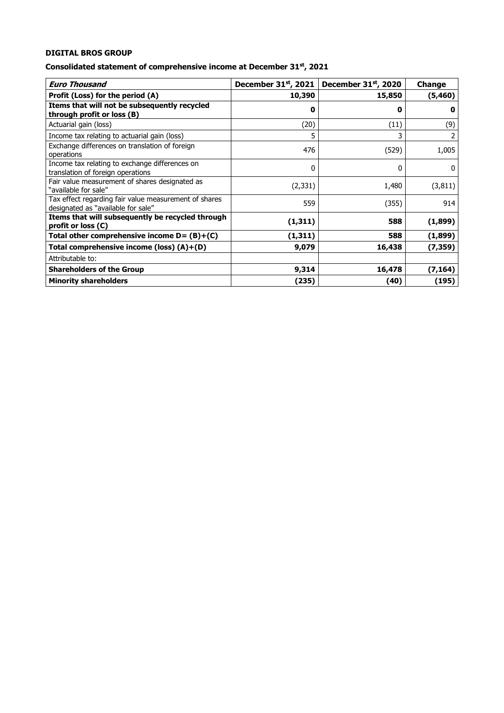## **Consolidated statement of comprehensive income at December 31st, 2021**

| <b>Euro Thousand</b>                                                                        | December 31st, 2021 | December 31st, 2020 | <b>Change</b> |
|---------------------------------------------------------------------------------------------|---------------------|---------------------|---------------|
| Profit (Loss) for the period (A)                                                            | 10,390              | 15,850              | (5, 460)      |
| Items that will not be subsequently recycled<br>through profit or loss (B)                  | 0                   | 0                   | $\mathbf o$   |
| Actuarial gain (loss)                                                                       | (20)                | (11)                | (9)           |
| Income tax relating to actuarial gain (loss)                                                | 5                   | 3                   | 2             |
| Exchange differences on translation of foreign<br>operations                                | 476                 | (529)               | 1,005         |
| Income tax relating to exchange differences on<br>translation of foreign operations         | 0                   | 0                   | $\Omega$      |
| Fair value measurement of shares designated as<br>"available for sale"                      | (2, 331)            | 1,480               | (3, 811)      |
| Tax effect regarding fair value measurement of shares<br>designated as "available for sale" | 559                 | (355)               | 914           |
| Items that will subsequently be recycled through<br>profit or loss (C)                      | (1, 311)            | 588                 | (1,899)       |
| Total other comprehensive income $D = (B)+(C)$                                              | (1, 311)            | 588                 | (1,899)       |
| Total comprehensive income (loss) (A)+(D)                                                   | 9,079               | 16,438              | (7, 359)      |
| Attributable to:                                                                            |                     |                     |               |
| <b>Shareholders of the Group</b>                                                            | 9,314               | 16,478              | (7, 164)      |
| <b>Minority shareholders</b>                                                                | (235)               | (40)                | (195)         |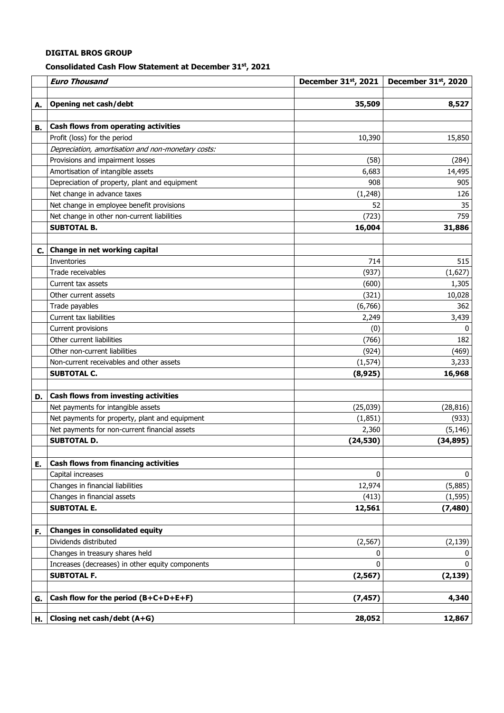#### **Consolidated Cash Flow Statement at December 31st , 2021**

|    | <b>Euro Thousand</b>                                                                 | December 31st, 2021   | December 31st, 2020 |
|----|--------------------------------------------------------------------------------------|-----------------------|---------------------|
|    |                                                                                      |                       |                     |
| А. | <b>Opening net cash/debt</b>                                                         | 35,509                | 8,527               |
|    |                                                                                      |                       |                     |
| В. | Cash flows from operating activities                                                 |                       |                     |
|    | Profit (loss) for the period                                                         | 10,390                | 15,850              |
|    | Depreciation, amortisation and non-monetary costs:                                   |                       |                     |
|    | Provisions and impairment losses                                                     | (58)                  | (284)               |
|    | Amortisation of intangible assets                                                    | 6,683                 | 14,495              |
|    | Depreciation of property, plant and equipment                                        | 908                   | 905                 |
|    | Net change in advance taxes                                                          | (1, 248)              | 126                 |
|    | Net change in employee benefit provisions                                            | 52                    | 35                  |
|    | Net change in other non-current liabilities                                          | (723)                 | 759                 |
|    | <b>SUBTOTAL B.</b>                                                                   | 16,004                | 31,886              |
|    |                                                                                      |                       |                     |
| C. | Change in net working capital                                                        |                       |                     |
|    | Inventories                                                                          | 714                   | 515                 |
|    | Trade receivables                                                                    | (937)                 | (1,627)             |
|    | Current tax assets                                                                   | (600)                 | 1,305               |
|    | Other current assets                                                                 | (321)                 | 10,028              |
|    | Trade payables                                                                       | (6,766)               | 362                 |
|    | Current tax liabilities                                                              | 2,249                 | 3,439               |
|    | Current provisions                                                                   | (0)                   | $\mathbf{0}$        |
|    | Other current liabilities                                                            | (766)                 | 182                 |
|    | Other non-current liabilities                                                        | (924)                 | (469)               |
|    | Non-current receivables and other assets                                             | (1, 574)              | 3,233               |
|    | <b>SUBTOTAL C.</b>                                                                   | (8, 925)              | 16,968              |
|    | Cash flows from investing activities                                                 |                       |                     |
| D. |                                                                                      |                       |                     |
|    | Net payments for intangible assets<br>Net payments for property, plant and equipment | (25, 039)<br>(1, 851) | (28, 816)<br>(933)  |
|    |                                                                                      | 2,360                 |                     |
|    | Net payments for non-current financial assets<br><b>SUBTOTAL D.</b>                  | (24, 530)             | (5, 146)            |
|    |                                                                                      |                       | (34, 895)           |
| Ε. | <b>Cash flows from financing activities</b>                                          |                       |                     |
|    | Capital increases                                                                    | $\mathbf{0}$          | 0                   |
|    | Changes in financial liabilities                                                     | 12,974                | (5,885)             |
|    | Changes in financial assets                                                          | (413)                 | (1, 595)            |
|    | <b>SUBTOTAL E.</b>                                                                   | 12,561                | (7, 480)            |
|    |                                                                                      |                       |                     |
| F. | <b>Changes in consolidated equity</b>                                                |                       |                     |
|    | Dividends distributed                                                                | (2, 567)              | (2, 139)            |
|    | Changes in treasury shares held                                                      | 0                     | 0                   |
|    | Increases (decreases) in other equity components                                     | 0                     | 0                   |
|    | <b>SUBTOTAL F.</b>                                                                   | (2, 567)              | (2, 139)            |
|    |                                                                                      |                       |                     |
| G. | Cash flow for the period (B+C+D+E+F)                                                 | (7, 457)              | 4,340               |
|    |                                                                                      |                       |                     |
| н. | Closing net cash/debt (A+G)                                                          | 28,052                | 12,867              |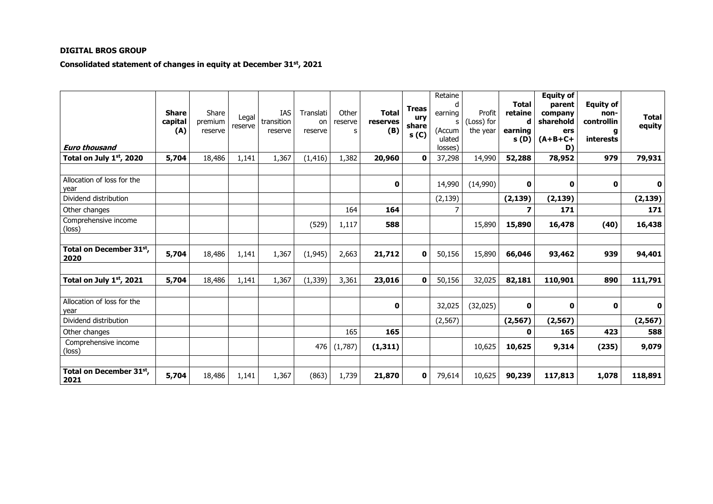## **Consolidated statement of changes in equity at December 31st, 2021**

| <b>Euro thousand</b>               | <b>Share</b><br>capital<br>(A) | Share<br>premium<br>reserve | Legal<br>reserve | IAS<br>transition<br>reserve | Translati<br>on<br>reserve | Other<br>reserve<br>s | <b>Total</b><br>reserves<br>(B) | Treas<br>ury<br>share<br>s(0) | Retaine<br>d<br>earning<br>s<br>(Accum<br>ulated<br>losses) | Profit<br>(Loss) for<br>the year | <b>Total</b><br>retaine<br>d<br>earning<br>s(D) | <b>Equity of</b><br>parent<br>company<br>sharehold<br>ers<br>$(A+B+C+$<br>D) | <b>Equity of</b><br>non-<br>controllin<br>g<br>interests | <b>Total</b><br>equity |
|------------------------------------|--------------------------------|-----------------------------|------------------|------------------------------|----------------------------|-----------------------|---------------------------------|-------------------------------|-------------------------------------------------------------|----------------------------------|-------------------------------------------------|------------------------------------------------------------------------------|----------------------------------------------------------|------------------------|
| Total on July 1st, 2020            | 5,704                          | 18,486                      | 1,141            | 1,367                        | (1, 416)                   | 1,382                 | 20,960                          | 0                             | 37,298                                                      | 14,990                           | 52,288                                          | 78,952                                                                       | 979                                                      | 79,931                 |
| Allocation of loss for the<br>year |                                |                             |                  |                              |                            |                       | 0                               |                               | 14,990                                                      | (14,990)                         | 0                                               | 0                                                                            | 0                                                        | 0                      |
| Dividend distribution              |                                |                             |                  |                              |                            |                       |                                 |                               | (2, 139)                                                    |                                  | (2, 139)                                        | (2, 139)                                                                     |                                                          | (2, 139)               |
| Other changes                      |                                |                             |                  |                              |                            | 164                   | 164                             |                               | 7                                                           |                                  | 7                                               | 171                                                                          |                                                          | 171                    |
| Comprehensive income<br>(loss)     |                                |                             |                  |                              | (529)                      | 1,117                 | 588                             |                               |                                                             | 15,890                           | 15,890                                          | 16,478                                                                       | (40)                                                     | 16,438                 |
| Total on December 31st,<br>2020    | 5,704                          | 18,486                      | 1,141            | 1,367                        | (1, 945)                   | 2,663                 | 21,712                          | 0                             | 50,156                                                      | 15,890                           | 66,046                                          | 93,462                                                                       | 939                                                      | 94,401                 |
| Total on July $1st$ , 2021         | 5,704                          | 18,486                      | 1,141            | 1,367                        | (1, 339)                   | 3,361                 | 23,016                          | 0                             | 50,156                                                      | 32,025                           | 82,181                                          | 110,901                                                                      | 890                                                      | 111,791                |
| Allocation of loss for the<br>year |                                |                             |                  |                              |                            |                       | 0                               |                               | 32,025                                                      | (32,025)                         | 0                                               | 0                                                                            | 0                                                        | 0                      |
| Dividend distribution              |                                |                             |                  |                              |                            |                       |                                 |                               | (2, 567)                                                    |                                  | (2, 567)                                        | (2, 567)                                                                     |                                                          | (2, 567)               |
| Other changes                      |                                |                             |                  |                              |                            | 165                   | 165                             |                               |                                                             |                                  | O                                               | 165                                                                          | 423                                                      | 588                    |
| Comprehensive income<br>(loss)     |                                |                             |                  |                              | 476                        | (1,787)               | (1, 311)                        |                               |                                                             | 10,625                           | 10,625                                          | 9,314                                                                        | (235)                                                    | 9,079                  |
|                                    |                                |                             |                  |                              |                            |                       |                                 |                               |                                                             |                                  |                                                 |                                                                              |                                                          |                        |
| Total on December 31st,<br>2021    | 5,704                          | 18,486                      | 1,141            | 1,367                        | (863)                      | 1,739                 | 21,870                          | $\mathbf 0$                   | 79,614                                                      | 10,625                           | 90,239                                          | 117,813                                                                      | 1,078                                                    | 118,891                |